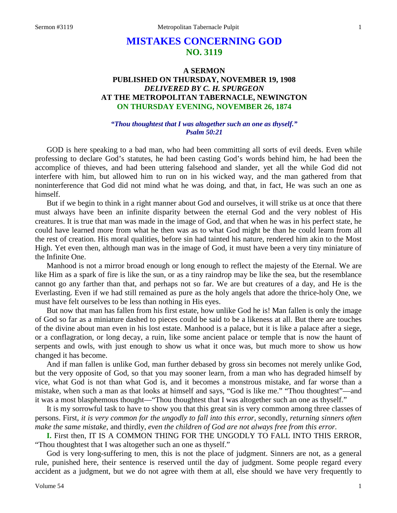# **MISTAKES CONCERNING GOD NO. 3119**

# **A SERMON PUBLISHED ON THURSDAY, NOVEMBER 19, 1908** *DELIVERED BY C. H. SPURGEON* **AT THE METROPOLITAN TABERNACLE, NEWINGTON ON THURSDAY EVENING, NOVEMBER 26, 1874**

### *"Thou thoughtest that I was altogether such an one as thyself." Psalm 50:21*

GOD is here speaking to a bad man, who had been committing all sorts of evil deeds. Even while professing to declare God's statutes, he had been casting God's words behind him, he had been the accomplice of thieves, and had been uttering falsehood and slander, yet all the while God did not interfere with him, but allowed him to run on in his wicked way, and the man gathered from that noninterference that God did not mind what he was doing, and that, in fact, He was such an one as himself.

But if we begin to think in a right manner about God and ourselves, it will strike us at once that there must always have been an infinite disparity between the eternal God and the very noblest of His creatures. It is true that man was made in the image of God, and that when he was in his perfect state, he could have learned more from what he then was as to what God might be than he could learn from all the rest of creation. His moral qualities, before sin had tainted his nature, rendered him akin to the Most High. Yet even then, although man was in the image of God, it must have been a very tiny miniature of the Infinite One.

Manhood is not a mirror broad enough or long enough to reflect the majesty of the Eternal. We are like Him as a spark of fire is like the sun, or as a tiny raindrop may be like the sea, but the resemblance cannot go any farther than that, and perhaps not so far. We are but creatures of a day, and He is the Everlasting. Even if we had still remained as pure as the holy angels that adore the thrice-holy One, we must have felt ourselves to be less than nothing in His eyes.

But now that man has fallen from his first estate, how unlike God he is! Man fallen is only the image of God so far as a miniature dashed to pieces could be said to be a likeness at all. But there are touches of the divine about man even in his lost estate. Manhood is a palace, but it is like a palace after a siege, or a conflagration, or long decay, a ruin, like some ancient palace or temple that is now the haunt of serpents and owls, with just enough to show us what it once was, but much more to show us how changed it has become.

And if man fallen is unlike God, man further debased by gross sin becomes not merely unlike God, but the very opposite of God, so that you may sooner learn, from a man who has degraded himself by vice, what God is not than what God is, and it becomes a monstrous mistake, and far worse than a mistake, when such a man as that looks at himself and says, "God is like me." "Thou thoughtest"—and it was a most blasphemous thought—"Thou thoughtest that I was altogether such an one as thyself."

It is my sorrowful task to have to show you that this great sin is very common among three classes of persons. First, *it is very common for the ungodly to fall into this error,* secondly, *returning sinners often make the same mistake,* and thirdly, *even the children of God are not always free from this error.* 

**I.** First then, IT IS A COMMON THING FOR THE UNGODLY TO FALL INTO THIS ERROR, "Thou thoughtest that I was altogether such an one as thyself."

God is very long-suffering to men, this is not the place of judgment. Sinners are not, as a general rule, punished here, their sentence is reserved until the day of judgment. Some people regard every accident as a judgment, but we do not agree with them at all, else should we have very frequently to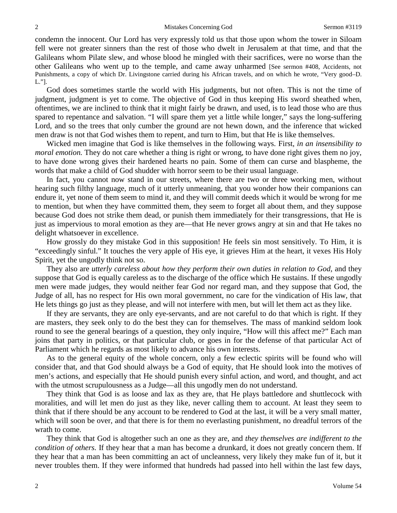condemn the innocent. Our Lord has very expressly told us that those upon whom the tower in Siloam fell were not greater sinners than the rest of those who dwelt in Jerusalem at that time, and that the Galileans whom Pilate slew, and whose blood he mingled with their sacrifices, were no worse than the other Galileans who went up to the temple, and came away unharmed [See sermon #408, Accidents, not Punishments, a copy of which Dr. Livingstone carried during his African travels, and on which he wrote, "Very good–D. L."].

God does sometimes startle the world with His judgments, but not often. This is not the time of judgment, judgment is yet to come. The objective of God in thus keeping His sword sheathed when, oftentimes, we are inclined to think that it might fairly be drawn, and used, is to lead those who are thus spared to repentance and salvation. "I will spare them yet a little while longer," says the long-suffering Lord, and so the trees that only cumber the ground are not hewn down, and the inference that wicked men draw is not that God wishes them to repent, and turn to Him, but that He is like themselves.

Wicked men imagine that God is like themselves in the following ways. First, *in an insensibility to moral emotion.* They do not care whether a thing is right or wrong, to have done right gives them no joy, to have done wrong gives their hardened hearts no pain. Some of them can curse and blaspheme, the words that make a child of God shudder with horror seem to be their usual language.

In fact, you cannot now stand in our streets, where there are two or three working men, without hearing such filthy language, much of it utterly unmeaning, that you wonder how their companions can endure it, yet none of them seem to mind it, and they will commit deeds which it would be wrong for me to mention, but when they have committed them, they seem to forget all about them, and they suppose because God does not strike them dead, or punish them immediately for their transgressions, that He is just as impervious to moral emotion as they are—that He never grows angry at sin and that He takes no delight whatsoever in excellence.

How grossly do they mistake God in this supposition! He feels sin most sensitively. To Him, it is "exceedingly sinful." It touches the very apple of His eye, it grieves Him at the heart, it vexes His Holy Spirit, yet the ungodly think not so.

They also are *utterly careless about how they perform their own duties in relation to God,* and they suppose that God is equally careless as to the discharge of the office which He sustains. If these ungodly men were made judges, they would neither fear God nor regard man, and they suppose that God, the Judge of all, has no respect for His own moral government, no care for the vindication of His law, that He lets things go just as they please, and will not interfere with men, but will let them act as they like.

If they are servants, they are only eye-servants, and are not careful to do that which is right. If they are masters, they seek only to do the best they can for themselves. The mass of mankind seldom look round to see the general bearings of a question, they only inquire, "How will this affect me?" Each man joins that party in politics, or that particular club, or goes in for the defense of that particular Act of Parliament which he regards as most likely to advance his own interests.

As to the general equity of the whole concern, only a few eclectic spirits will be found who will consider that, and that God should always be a God of equity, that He should look into the motives of men's actions, and especially that He should punish every sinful action, and word, and thought, and act with the utmost scrupulousness as a Judge—all this ungodly men do not understand.

They think that God is as loose and lax as they are, that He plays battledore and shuttlecock with moralities, and will let men do just as they like, never calling them to account. At least they seem to think that if there should be any account to be rendered to God at the last, it will be a very small matter, which will soon be over, and that there is for them no everlasting punishment, no dreadful terrors of the wrath to come.

They think that God is altogether such an one as they are, and *they themselves are indifferent to the condition of others.* If they hear that a man has become a drunkard, it does not greatly concern them. If they hear that a man has been committing an act of uncleanness, very likely they make fun of it, but it never troubles them. If they were informed that hundreds had passed into hell within the last few days,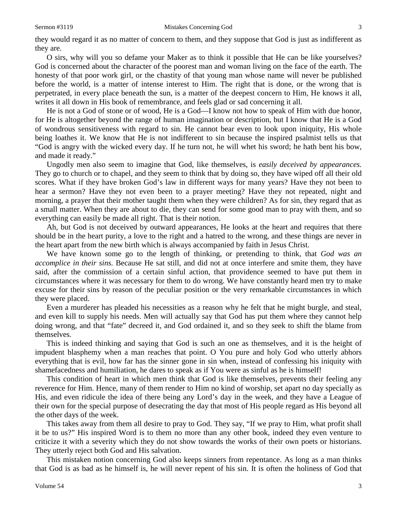they would regard it as no matter of concern to them, and they suppose that God is just as indifferent as they are.

O sirs, why will you so defame your Maker as to think it possible that He can be like yourselves? God is concerned about the character of the poorest man and woman living on the face of the earth. The honesty of that poor work girl, or the chastity of that young man whose name will never be published before the world, is a matter of intense interest to Him. The right that is done, or the wrong that is perpetrated, in every place beneath the sun, is a matter of the deepest concern to Him, He knows it all, writes it all down in His book of remembrance, and feels glad or sad concerning it all.

He is not a God of stone or of wood, He is a God—I know not how to speak of Him with due honor, for He is altogether beyond the range of human imagination or description, but I know that He is a God of wondrous sensitiveness with regard to sin. He cannot bear even to look upon iniquity, His whole being loathes it. We know that He is not indifferent to sin because the inspired psalmist tells us that "God is angry with the wicked every day. If he turn not, he will whet his sword; he hath bent his bow, and made it ready."

Ungodly men also seem to imagine that God, like themselves, is *easily deceived by appearances.*  They go to church or to chapel, and they seem to think that by doing so, they have wiped off all their old scores. What if they have broken God's law in different ways for many years? Have they not been to hear a sermon? Have they not even been to a prayer meeting? Have they not repeated, night and morning, a prayer that their mother taught them when they were children? As for sin, they regard that as a small matter. When they are about to die, they can send for some good man to pray with them, and so everything can easily be made all right. That is their notion.

Ah, but God is not deceived by outward appearances, He looks at the heart and requires that there should be in the heart purity, a love to the right and a hatred to the wrong, and these things are never in the heart apart from the new birth which is always accompanied by faith in Jesus Christ.

We have known some go to the length of thinking, or pretending to think, that *God was an accomplice in their sins.* Because He sat still, and did not at once interfere and smite them, they have said, after the commission of a certain sinful action, that providence seemed to have put them in circumstances where it was necessary for them to do wrong. We have constantly heard men try to make excuse for their sins by reason of the peculiar position or the very remarkable circumstances in which they were placed.

Even a murderer has pleaded his necessities as a reason why he felt that he might burgle, and steal, and even kill to supply his needs. Men will actually say that God has put them where they cannot help doing wrong, and that "fate" decreed it, and God ordained it, and so they seek to shift the blame from themselves.

This is indeed thinking and saying that God is such an one as themselves, and it is the height of impudent blasphemy when a man reaches that point. O You pure and holy God who utterly abhors everything that is evil, how far has the sinner gone in sin when, instead of confessing his iniquity with shamefacedness and humiliation, he dares to speak as if You were as sinful as he is himself!

This condition of heart in which men think that God is like themselves, prevents their feeling any reverence for Him. Hence, many of them render to Him no kind of worship, set apart no day specially as His, and even ridicule the idea of there being any Lord's day in the week, and they have a League of their own for the special purpose of desecrating the day that most of His people regard as His beyond all the other days of the week.

This takes away from them all desire to pray to God. They say, "If we pray to Him, what profit shall it be to us?" His inspired Word is to them no more than any other book, indeed they even venture to criticize it with a severity which they do not show towards the works of their own poets or historians. They utterly reject both God and His salvation.

This mistaken notion concerning God also keeps sinners from repentance. As long as a man thinks that God is as bad as he himself is, he will never repent of his sin. It is often the holiness of God that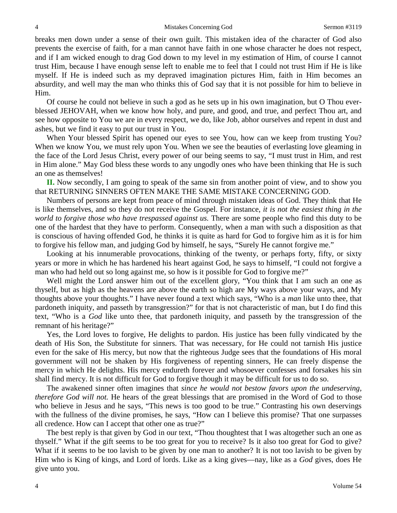breaks men down under a sense of their own guilt. This mistaken idea of the character of God also prevents the exercise of faith, for a man cannot have faith in one whose character he does not respect, and if I am wicked enough to drag God down to my level in my estimation of Him, of course I cannot trust Him, because I have enough sense left to enable me to feel that I could not trust Him if He is like myself. If He is indeed such as my depraved imagination pictures Him, faith in Him becomes an absurdity, and well may the man who thinks this of God say that it is not possible for him to believe in Him.

Of course he could not believe in such a god as he sets up in his own imagination, but O Thou everblessed JEHOVAH, when we know how holy, and pure, and good, and true, and perfect Thou art, and see how opposite to You we are in every respect, we do, like Job, abhor ourselves and repent in dust and ashes, but we find it easy to put our trust in You.

When Your blessed Spirit has opened our eyes to see You, how can we keep from trusting You? When we know You, we must rely upon You. When we see the beauties of everlasting love gleaming in the face of the Lord Jesus Christ, every power of our being seems to say, "I must trust in Him, and rest in Him alone." May God bless these words to any ungodly ones who have been thinking that He is such an one as themselves!

**II.** Now secondly, I am going to speak of the same sin from another point of view, and to show you that RETURNING SINNERS OFTEN MAKE THE SAME MISTAKE CONCERNING GOD.

Numbers of persons are kept from peace of mind through mistaken ideas of God. They think that He is like themselves, and so they do not receive the Gospel. For instance, *it is not the easiest thing in the world to forgive those who have trespassed against us.* There are some people who find this duty to be one of the hardest that they have to perform. Consequently, when a man with such a disposition as that is conscious of having offended God, he thinks it is quite as hard for God to forgive him as it is for him to forgive his fellow man, and judging God by himself, he says, "Surely He cannot forgive me."

Looking at his innumerable provocations, thinking of the twenty, or perhaps forty, fifty, or sixty years or more in which he has hardened his heart against God, he says to himself, "I could not forgive a man who had held out so long against me, so how is it possible for God to forgive me?"

Well might the Lord answer him out of the excellent glory, "You think that I am such an one as thyself, but as high as the heavens are above the earth so high are My ways above your ways, and My thoughts above your thoughts." I have never found a text which says, "Who is a *man* like unto thee, that pardoneth iniquity, and passeth by transgression?" for that is not characteristic of man, but I do find this text, "Who is a *God* like unto thee, that pardoneth iniquity, and passeth by the transgression of the remnant of his heritage?"

Yes, the Lord loves to forgive, He delights to pardon. His justice has been fully vindicated by the death of His Son, the Substitute for sinners. That was necessary, for He could not tarnish His justice even for the sake of His mercy, but now that the righteous Judge sees that the foundations of His moral government will not be shaken by His forgiveness of repenting sinners, He can freely dispense the mercy in which He delights. His mercy endureth forever and whosoever confesses and forsakes his sin shall find mercy. It is not difficult for God to forgive though it may be difficult for us to do so.

The awakened sinner often imagines that *since he would not bestow favors upon the undeserving, therefore God will not.* He hears of the great blessings that are promised in the Word of God to those who believe in Jesus and he says, "This news is too good to be true." Contrasting his own deservings with the fullness of the divine promises, he says, "How can I believe this promise? That one surpasses all credence. How can I accept that other one as true?"

The best reply is that given by God in our text, "Thou thoughtest that I was altogether such an one as thyself." What if the gift seems to be too great for you to receive? Is it also too great for God to give? What if it seems to be too lavish to be given by one man to another? It is not too lavish to be given by Him who is King of kings, and Lord of lords. Like as a king gives—nay, like as a *God* gives, does He give unto you.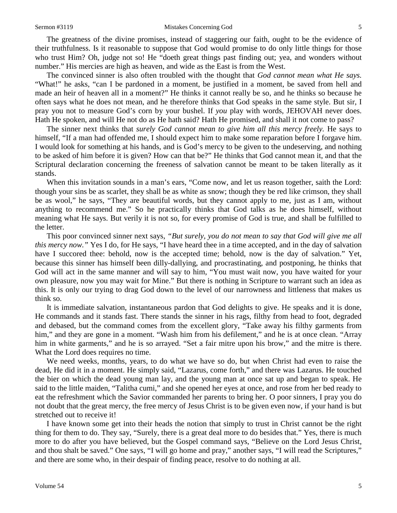#### Sermon #3119 **Mistakes Concerning God** 5

The greatness of the divine promises, instead of staggering our faith, ought to be the evidence of their truthfulness. Is it reasonable to suppose that God would promise to do only little things for those who trust Him? Oh, judge not so! He "doeth great things past finding out; yea, and wonders without number." His mercies are high as heaven, and wide as the East is from the West.

The convinced sinner is also often troubled with the thought that *God cannot mean what He says.*  "What!" he asks, "can I be pardoned in a moment, be justified in a moment, be saved from hell and made an heir of heaven all in a moment?" He thinks it cannot really be so, and he thinks so because he often says what he does not mean, and he therefore thinks that God speaks in the same style. But sir, I pray you not to measure God's corn by your bushel. If *you* play with words, JEHOVAH never does. Hath He spoken, and will He not do as He hath said? Hath He promised, and shall it not come to pass?

The sinner next thinks that *surely God cannot mean to give him all this mercy freely.* He says to himself, "If a man had offended me, I should expect him to make some reparation before I forgave him. I would look for something at his hands, and is God's mercy to be given to the undeserving, and nothing to be asked of him before it is given? How can that be?" He thinks that God cannot mean it, and that the Scriptural declaration concerning the freeness of salvation cannot be meant to be taken literally as it stands.

When this invitation sounds in a man's ears, "Come now, and let us reason together, saith the Lord: though your sins be as scarlet, they shall be as white as snow; though they be red like crimson, they shall be as wool," he says, "They are beautiful words, but they cannot apply to me, just as I am, without anything to recommend me." So he practically thinks that God talks as he does himself, without meaning what He says. But verily it is not so, for every promise of God is true, and shall be fulfilled to the letter.

This poor convinced sinner next says, *"But surely, you do not mean to say that God will give me all this mercy now."* Yes I do, for He says, "I have heard thee in a time accepted, and in the day of salvation have I succored thee: behold, now is the accepted time; behold, now is the day of salvation." Yet, because this sinner has himself been dilly-dallying, and procrastinating, and postponing, he thinks that God will act in the same manner and will say to him, "You must wait now, you have waited for your own pleasure, now you may wait for Mine." But there is nothing in Scripture to warrant such an idea as this. It is only our trying to drag God down to the level of our narrowness and littleness that makes us think so.

It is immediate salvation, instantaneous pardon that God delights to give. He speaks and it is done, He commands and it stands fast. There stands the sinner in his rags, filthy from head to foot, degraded and debased, but the command comes from the excellent glory, "Take away his filthy garments from him," and they are gone in a moment. "Wash him from his defilement," and he is at once clean. "Array him in white garments," and he is so arrayed. "Set a fair mitre upon his brow," and the mitre is there. What the Lord does requires no time.

We need weeks, months, years, to do what we have so do, but when Christ had even to raise the dead, He did it in a moment. He simply said, "Lazarus, come forth," and there was Lazarus. He touched the bier on which the dead young man lay, and the young man at once sat up and began to speak. He said to the little maiden, "Talitha cumi," and she opened her eyes at once, and rose from her bed ready to eat the refreshment which the Savior commanded her parents to bring her. O poor sinners, I pray you do not doubt that the great mercy, the free mercy of Jesus Christ is to be given even now, if your hand is but stretched out to receive it!

I have known some get into their heads the notion that simply to trust in Christ cannot be the right thing for them to do. They say, "Surely, there is a great deal more to do besides that." Yes, there is much more to do after you have believed, but the Gospel command says, "Believe on the Lord Jesus Christ, and thou shalt be saved." One says, "I will go home and pray," another says, "I will read the Scriptures," and there are some who, in their despair of finding peace, resolve to do nothing at all.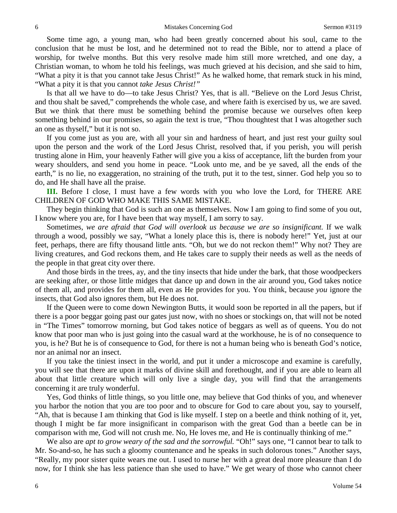Some time ago, a young man, who had been greatly concerned about his soul, came to the conclusion that he must be lost, and he determined not to read the Bible, nor to attend a place of worship, for twelve months. But this very resolve made him still more wretched, and one day, a Christian woman, to whom he told his feelings, was much grieved at his decision, and she said to him, "What a pity it is that you cannot take Jesus Christ!" As he walked home, that remark stuck in his mind, "What a pity it is that you cannot *take Jesus Christ!"* 

Is that all we have to do—to take Jesus Christ? Yes, that is all. "Believe on the Lord Jesus Christ, and thou shalt be saved," comprehends the whole case, and where faith is exercised by us, we are saved. But we think that there must be something behind the promise because we ourselves often keep something behind in our promises, so again the text is true, "Thou thoughtest that I was altogether such an one as thyself," but it is not so.

If you come just as you are, with all your sin and hardness of heart, and just rest your guilty soul upon the person and the work of the Lord Jesus Christ, resolved that, if you perish, you will perish trusting alone in Him, your heavenly Father will give you a kiss of acceptance, lift the burden from your weary shoulders, and send you home in peace. "Look unto me, and be ye saved, all the ends of the earth," is no lie, no exaggeration, no straining of the truth, put it to the test, sinner. God help you so to do, and He shall have all the praise.

**III.** Before I close, I must have a few words with you who love the Lord, for THERE ARE CHILDREN OF GOD WHO MAKE THIS SAME MISTAKE.

They begin thinking that God is such an one as themselves. Now I am going to find some of you out, I know where you are, for I have been that way myself, I am sorry to say.

Sometimes, *we are afraid that God will overlook us because we are so insignificant.* If we walk through a wood, possibly we say, "What a lonely place this is, there is nobody here!" Yet, just at our feet, perhaps, there are fifty thousand little ants. "Oh, but we do not reckon them!" Why not? They are living creatures, and God reckons them, and He takes care to supply their needs as well as the needs of the people in that great city over there.

And those birds in the trees, ay, and the tiny insects that hide under the bark, that those woodpeckers are seeking after, or those little midges that dance up and down in the air around you, God takes notice of them all, and provides for them all, even as He provides for you. You think, because *you* ignore the insects, that God also ignores them, but He does not.

If the Queen were to come down Newington Butts, it would soon be reported in all the papers, but if there is a poor beggar going past our gates just now, with no shoes or stockings on, that will not be noted in "The Times" tomorrow morning, but God takes notice of beggars as well as of queens. You do not know that poor man who is just going into the casual ward at the workhouse, he is of no consequence to you, is he? But he is of consequence to God, for there is not a human being who is beneath God's notice, nor an animal nor an insect.

If you take the tiniest insect in the world, and put it under a microscope and examine is carefully, you will see that there are upon it marks of divine skill and forethought, and if you are able to learn all about that little creature which will only live a single day, you will find that the arrangements concerning it are truly wonderful.

Yes, God thinks of little things, so you little one, may believe that God thinks of you, and whenever you harbor the notion that you are too poor and to obscure for God to care about you, say to yourself, "Ah, that is because I am thinking that God is like myself. I step on a beetle and think nothing of it, yet, though I might be far more insignificant in comparison with the great God than a beetle can be in comparison with me, God will not crush me. No, He loves me, and He is continually thinking of me."

We also are *apt to grow weary of the sad and the sorrowful*. "Oh!" says one, "I cannot bear to talk to Mr. So-and-so, he has such a gloomy countenance and he speaks in such dolorous tones." Another says, "Really, my poor sister quite wears me out. I used to nurse her with a great deal more pleasure than I do now, for I think she has less patience than she used to have." We get weary of those who cannot cheer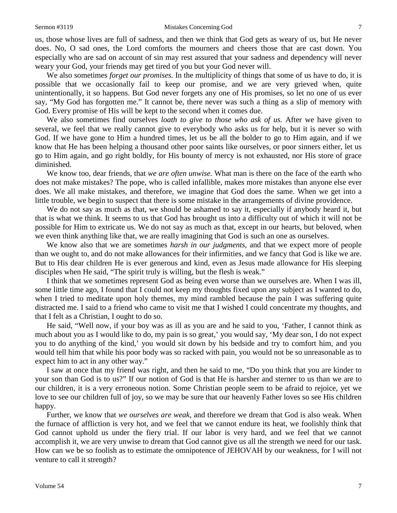#### Sermon #3119 **Mistakes Concerning God** 7

us, those whose lives are full of sadness, and then we think that God gets as weary of us, but He never does. No, O sad ones, the Lord comforts the mourners and cheers those that are cast down. You especially who are sad on account of sin may rest assured that your sadness and dependency will never weary your God, your friends may get tired of you but your God never will.

We also sometimes *forget our promises.* In the multiplicity of things that some of us have to do, it is possible that we occasionally fail to keep our promise, and we are very grieved when, quite unintentionally, it so happens. But God never forgets any one of His promises, so let no one of us ever say, "My God has forgotten me." It cannot be, there never was such a thing as a slip of memory with God. Every promise of His will be kept to the second when it comes due.

We also sometimes find ourselves *loath to give to those who ask of us.* After we have given to several, we feel that we really cannot give to everybody who asks us for help, but it is never so with God. If we have gone to Him a hundred times, let us be all the bolder to go to Him again, and if we know that He has been helping a thousand other poor saints like ourselves, or poor sinners either, let us go to Him again, and go right boldly, for His bounty of mercy is not exhausted, nor His store of grace diminished.

We know too, dear friends, that *we are often unwise.* What man is there on the face of the earth who does not make mistakes? The pope, who is called infallible, makes more mistakes than anyone else ever does. We all make mistakes, and therefore, we imagine that God does the same. When we get into a little trouble, we begin to suspect that there is some mistake in the arrangements of divine providence.

We do not say as much as that, we should be ashamed to say it, especially if anybody heard it, but that is what we think. It seems to us that God has brought us into a difficulty out of which it will not be possible for Him to extricate us. We do not say as much as that, except in our hearts, but beloved, when we even think anything like that, we are really imagining that God is such an one as ourselves.

We know also that we are sometimes *harsh in our judgments,* and that we expect more of people than we ought to, and do not make allowances for their infirmities, and we fancy that God is like we are. But to His dear children He is ever generous and kind, even as Jesus made allowance for His sleeping disciples when He said, "The spirit truly is willing, but the flesh is weak."

I think that we sometimes represent God as being even worse than we ourselves are. When I was ill, some little time ago, I found that I could not keep my thoughts fixed upon any subject as I wanted to do, when I tried to meditate upon holy themes, my mind rambled because the pain I was suffering quite distracted me. I said to a friend who came to visit me that I wished I could concentrate my thoughts, and that I felt as a Christian, I ought to do so.

He said, "Well now, if your boy was as ill as you are and he said to you, 'Father, I cannot think as much about you as I would like to do, my pain is so great,' you would say, 'My dear son, I do not expect you to do anything of the kind,' you would sit down by his bedside and try to comfort him, and you would tell him that while his poor body was so racked with pain, you would not be so unreasonable as to expect him to act in any other way."

I saw at once that my friend was right, and then he said to me, "Do you think that you are kinder to your son than God is to us?" If our notion of God is that He is harsher and sterner to us than we are to our children, it is a very erroneous notion. Some Christian people seem to be afraid to rejoice, yet we love to see our children full of joy, so we may be sure that our heavenly Father loves so see His children happy.

Further, we know that *we ourselves are weak,* and therefore we dream that God is also weak. When the furnace of affliction is very hot, and we feel that we cannot endure its heat, we foolishly think that God cannot uphold us under the fiery trial. If our labor is very hard, and we feel that we cannot accomplish it, we are very unwise to dream that God cannot give us all the strength we need for our task. How can we be so foolish as to estimate the omnipotence of JEHOVAH by our weakness, for I will not venture to call it strength?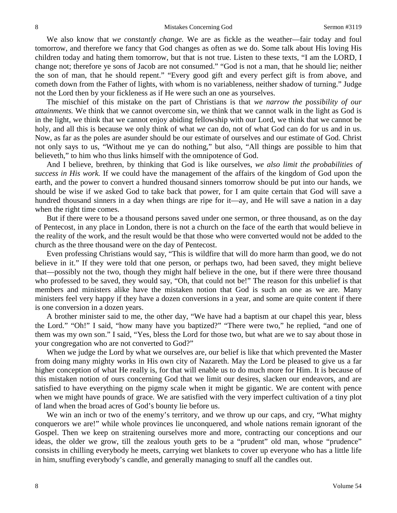We also know that *we constantly change.* We are as fickle as the weather—fair today and foul tomorrow, and therefore we fancy that God changes as often as we do. Some talk about His loving His children today and hating them tomorrow, but that is not true. Listen to these texts, "I am the LORD, I change not; therefore ye sons of Jacob are not consumed." "God is not a man, that he should lie; neither the son of man, that he should repent." "Every good gift and every perfect gift is from above, and cometh down from the Father of lights, with whom is no variableness, neither shadow of turning." Judge not the Lord then by your fickleness as if He were such an one as yourselves.

The mischief of this mistake on the part of Christians is that *we narrow the possibility of our attainments.* We think that we cannot overcome sin, we think that we cannot walk in the light as God is in the light, we think that we cannot enjoy abiding fellowship with our Lord, we think that we cannot be holy, and all this is because we only think of what *we* can do, not of what God can do for us and in us. Now, as far as the poles are asunder should be our estimate of ourselves and our estimate of God. Christ not only says to us, "Without me ye can do nothing," but also, "All things are possible to him that believeth," to him who thus links himself with the omnipotence of God.

And I believe, brethren, by thinking that God is like ourselves, *we also limit the probabilities of success in His work.* If we could have the management of the affairs of the kingdom of God upon the earth, and the power to convert a hundred thousand sinners tomorrow should be put into our hands, we should be wise if we asked God to take back that power, for I am quite certain that God will save a hundred thousand sinners in a day when things are ripe for it—ay, and He will save a nation in a day when the right time comes.

But if there were to be a thousand persons saved under one sermon, or three thousand, as on the day of Pentecost, in any place in London, there is not a church on the face of the earth that would believe in the reality of the work, and the result would be that those who were converted would not be added to the church as the three thousand were on the day of Pentecost.

Even professing Christians would say, "This is wildfire that will do more harm than good, we do not believe in it." If they were told that one person, or perhaps two, had been saved, they might believe that—possibly not the two, though they might half believe in the one, but if there were three thousand who professed to be saved, they would say, "Oh, that could not be!" The reason for this unbelief is that members and ministers alike have the mistaken notion that God is such an one as we are. Many ministers feel very happy if they have a dozen conversions in a year, and some are quite content if there is one conversion in a dozen years.

A brother minister said to me, the other day, "We have had a baptism at our chapel this year, bless the Lord." "Oh!" I said, "how many have you baptized?" "There were two," he replied, "and one of them was my own son." I said, "Yes, bless the Lord for those two, but what are we to say about those in your congregation who are not converted to God?"

When we judge the Lord by what we ourselves are, our belief is like that which prevented the Master from doing many mighty works in His own city of Nazareth. May the Lord be pleased to give us a far higher conception of what He really is, for that will enable us to do much more for Him. It is because of this mistaken notion of ours concerning God that we limit our desires, slacken our endeavors, and are satisfied to have everything on the pigmy scale when it might be gigantic. We are content with pence when we might have pounds of grace. We are satisfied with the very imperfect cultivation of a tiny plot of land when the broad acres of God's bounty lie before us.

We win an inch or two of the enemy's territory, and we throw up our caps, and cry, "What mighty" conquerors we are!" while whole provinces lie unconquered, and whole nations remain ignorant of the Gospel. Then we keep on straitening ourselves more and more, contracting our conceptions and our ideas, the older we grow, till the zealous youth gets to be a "prudent" old man, whose "prudence" consists in chilling everybody he meets, carrying wet blankets to cover up everyone who has a little life in him, snuffing everybody's candle, and generally managing to snuff all the candles out.